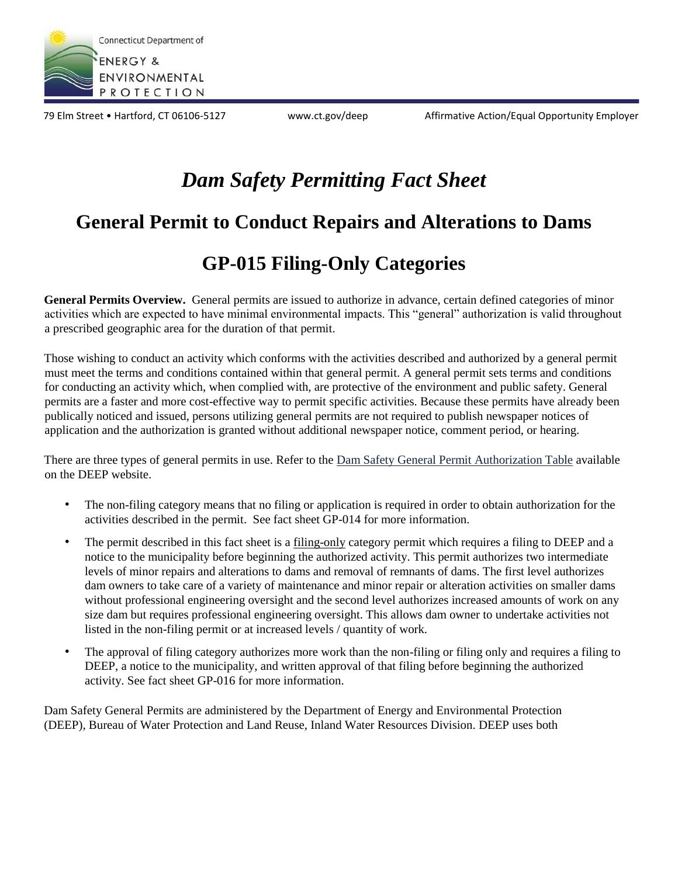

79 Elm Street • Hartford, CT 06106-5127 www.ct.gov/deep Affirmative Action/Equal Opportunity Employer

## *Dam Safety Permitting Fact Sheet*

## **General Permit to Conduct Repairs and Alterations to Dams**

## **GP-015 Filing-Only Categories**

**General Permits Overview.** General permits are issued to authorize in advance, certain defined categories of minor activities which are expected to have minimal environmental impacts. This "general" authorization is valid throughout a prescribed geographic area for the duration of that permit.

Those wishing to conduct an activity which conforms with the activities described and authorized by a general permit must meet the terms and conditions contained within that general permit. A general permit sets terms and conditions for conducting an activity which, when complied with, are protective of the environment and public safety. General permits are a faster and more cost-effective way to permit specific activities. Because these permits have already been publically noticed and issued, persons utilizing general permits are not required to publish newspaper notices of application and the authorization is granted without additional newspaper notice, comment period, or hearing.

There are three types of general permits in use. Refer to the Dam Safety General Permit Authorization Table available on the DEEP website.

- The non-filing category means that no filing or application is required in order to obtain authorization for the activities described in the permit. See fact sheet GP-014 for more information.
- The permit described in this fact sheet is a filing-only category permit which requires a filing to DEEP and a notice to the municipality before beginning the authorized activity. This permit authorizes two intermediate levels of minor repairs and alterations to dams and removal of remnants of dams. The first level authorizes dam owners to take care of a variety of maintenance and minor repair or alteration activities on smaller dams without professional engineering oversight and the second level authorizes increased amounts of work on any size dam but requires professional engineering oversight. This allows dam owner to undertake activities not listed in the non-filing permit or at increased levels / quantity of work.
- The approval of filing category authorizes more work than the non-filing or filing only and requires a filing to DEEP, a notice to the municipality, and written approval of that filing before beginning the authorized activity. See fact sheet GP-016 for more information.

Dam Safety General Permits are administered by the Department of Energy and Environmental Protection (DEEP), Bureau of Water Protection and Land Reuse, Inland Water Resources Division. DEEP uses both